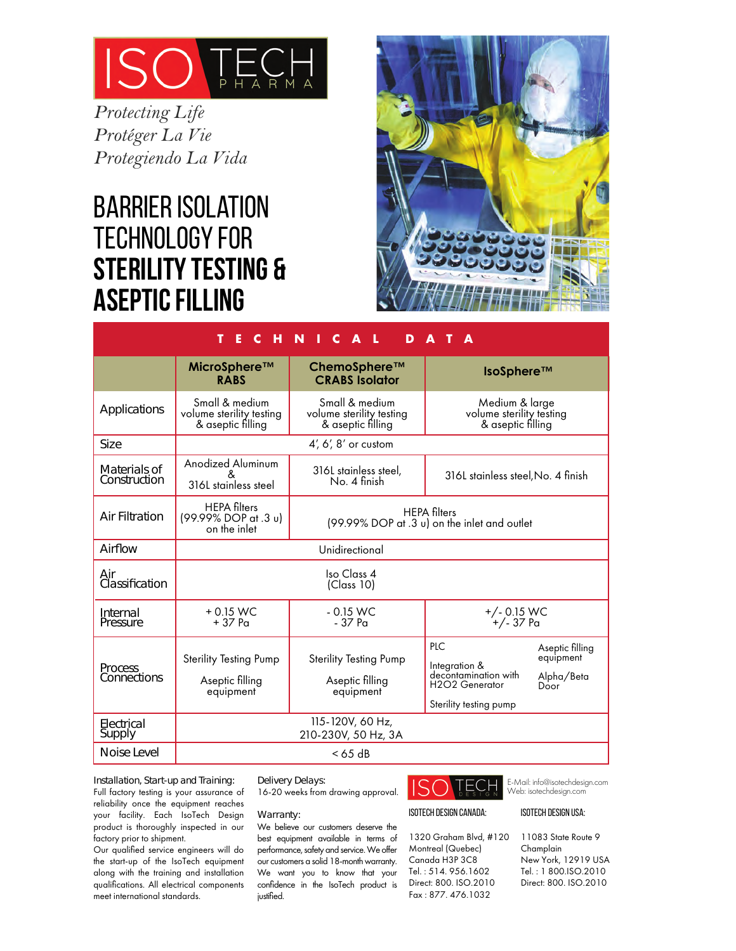

*Protecting Life Protéger La Vie Protegiendo La Vida*

# Barrier Isolation Technology for **Sterility TEsting & Aseptic Filling**



| т<br>C H N<br>$\Box$ C A $\Box$<br>Е<br>D<br>A |                                                                 |                                                                 |                                                                                          |                                                    |  |
|------------------------------------------------|-----------------------------------------------------------------|-----------------------------------------------------------------|------------------------------------------------------------------------------------------|----------------------------------------------------|--|
|                                                | MicroSphere™<br><b>RABS</b>                                     | ChemoSphere™<br><b>CRABS Isolator</b>                           | $IsoSphere^{TM}$                                                                         |                                                    |  |
| <b>Applications</b>                            | Small & medium<br>volume sterility testing<br>& aseptic filling | Small & medium<br>volume sterility testing<br>& aseptic filling | Medium & large<br>volume sterility testing<br>& aseptic filling                          |                                                    |  |
| <b>Size</b>                                    | $4'$ , 6', 8' or custom                                         |                                                                 |                                                                                          |                                                    |  |
| <b>Materials of</b><br>Construction            | Anodized Aluminum<br>316L stainless steel                       | 316L stainless steel,<br>No. 4 finish                           | 316L stainless steel, No. 4 finish                                                       |                                                    |  |
| <b>Air Filtration</b>                          | <b>HEPA</b> filters<br>(99.99% DOP at .3 u)<br>on the inlet     |                                                                 | <b>HEPA</b> filters<br>(99.99% DOP at .3 u) on the inlet and outlet                      |                                                    |  |
| Airflow                                        | Unidirectional                                                  |                                                                 |                                                                                          |                                                    |  |
| Air<br>Classification                          | Iso Class 4<br>(Class 10)                                       |                                                                 |                                                                                          |                                                    |  |
| Internal<br>Pressure                           | $+0.15$ WC<br>$+37$ Pa                                          | $-0.15$ WC<br>$-37Pa$                                           | +/- 0.15 WC<br>+/- 37 Pa                                                                 |                                                    |  |
| <b>Process</b><br><b>Connections</b>           | <b>Sterility Testing Pump</b><br>Aseptic filling<br>equipment   | <b>Sterility Testing Pump</b><br>Aseptic filling<br>equipment   | PLC<br>Integration &<br>decontamination with<br>H2O2 Generator<br>Sterility testing pump | Aseptic filling<br>equipment<br>Alpha/Beta<br>Door |  |
| Electrical<br>Supply                           | 115-120V, 60 Hz,<br>210-230V, 50 Hz, 3A                         |                                                                 |                                                                                          |                                                    |  |
| <b>Noise Level</b>                             |                                                                 | $< 65$ dB                                                       |                                                                                          |                                                    |  |

#### Installation, Start-up and Training:

Full factory testing is your assurance of reliability once the equipment reaches your facility. Each IsoTech Design product is thoroughly inspected in our factory prior to shipment.

Our qualified service engineers will do the start-up of the IsoTech equipment along with the training and installation qualifications. All electrical components meet international standards.

#### Delivery Delays:

16-20 weeks from drawing approval.

#### Warranty:

We believe our customers deserve the best equipment available in terms of performance, safety and service. We offer our customers a solid 18-month warranty. We want you to know that your confidence in the IsoTech product is justified.



#### IsoTech Design Canada:

1320 Graham Blvd, #120 11083 State Route 9 Montreal (Quebec) Canada H3P 3C8 Tel. : 514. 956.1602 Direct: 800. ISO.2010 Fax : 877. 476.1032

E-Mail: info@isotechdesign.com Web: isotechdesign.com

#### IsoTech Design USA:

Champlain New York, 12919 USA Tel. : 1 800.ISO.2010 Direct: 800. ISO.2010